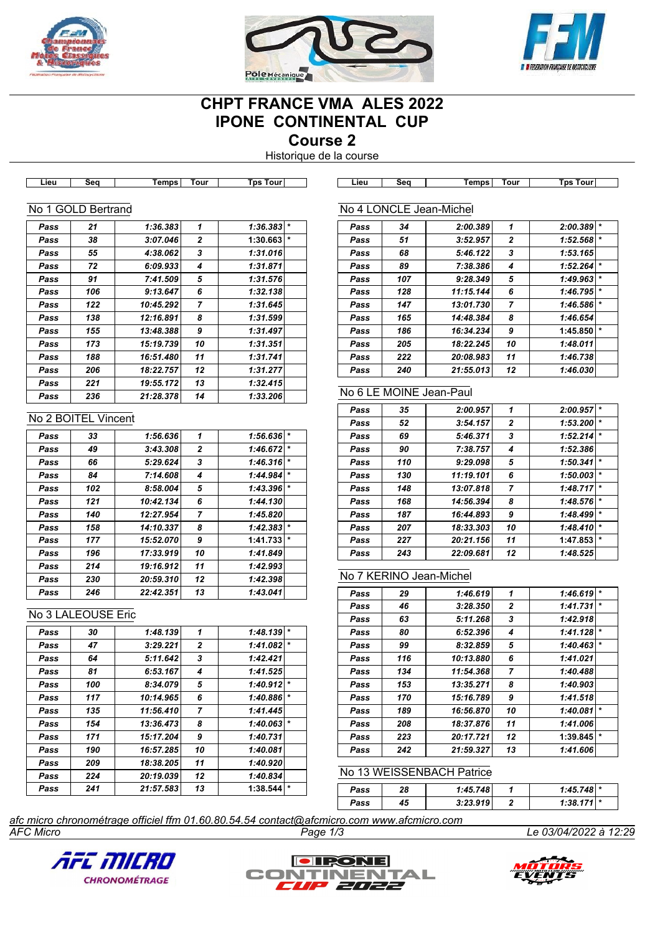





# **CHPT FRANCE VMA ALES 2022 IPONE CONTINENTAL CUP**

**Course 2**

Historique de la course

|              | No 1 GOLD Bertrand  |           |                   |                                                                                           |              | No 4 LONCLE Jean-Michel |                           |                     |                       |
|--------------|---------------------|-----------|-------------------|-------------------------------------------------------------------------------------------|--------------|-------------------------|---------------------------|---------------------|-----------------------|
| Pass         | 21                  | 1:36.383  | 1                 | $1:36.383$ *                                                                              | Pass         | 34                      | 2:00.389                  | 1                   | 2:00.389              |
| Pass         | 38                  | 3:07.046  | 2                 | 1:30.663                                                                                  | Pass         | 51                      | 3:52.957                  | 2                   | 1:52.568              |
| Pass         | 55                  | 4:38.062  | 3                 | 1:31.016                                                                                  | Pass         | 68                      | 5:46.122                  | 3                   | 1:53.165              |
| Pass         | 72                  | 6:09.933  | 4                 | 1:31.871                                                                                  | Pass         | 89                      | 7:38.386                  | 4                   | 1:52.264              |
| Pass         | 91                  | 7:41.509  | 5                 | 1:31.576                                                                                  | Pass         | 107                     | 9:28.349                  | 5                   | 1:49.963              |
| Pass         | 106                 | 9:13.647  | 6                 | 1:32.138                                                                                  | Pass         | 128                     | 11:15.144                 | 6                   | 1:46.795              |
| Pass         | 122                 | 10:45.292 | 7                 | 1:31.645                                                                                  | Pass         | 147                     | 13:01.730                 | 7                   | 1:46.586              |
| Pass         | 138                 | 12:16.891 | 8                 | 1:31.599                                                                                  | Pass         | 165                     | 14:48.384                 | 8                   | 1:46.654              |
| Pass         | 155                 | 13:48.388 | 9                 | 1:31.497                                                                                  | Pass         | 186                     | 16:34.234                 | 9                   | 1:45.850              |
| Pass         | 173                 | 15:19.739 | 10                | 1:31.351                                                                                  | Pass         | 205                     | 18:22.245                 | 10                  | 1:48.011              |
| Pass         | 188                 | 16:51.480 | 11                | 1:31.741                                                                                  | Pass         | 222                     | 20:08.983                 | 11                  | 1:46.738              |
| Pass         | 206                 | 18:22.757 | 12                | 1:31.277                                                                                  | Pass         | 240                     | 21:55.013                 | 12                  | 1:46.030              |
| Pass         | 221                 | 19:55.172 | 13                | 1:32.415                                                                                  |              | No 6 LE MOINE Jean-Paul |                           |                     |                       |
| Pass         | 236                 | 21:28.378 | 14                | 1:33.206                                                                                  |              |                         |                           |                     |                       |
|              | No 2 BOITEL Vincent |           |                   |                                                                                           | Pass         | 35                      | 2:00.957                  | 1                   | 2:00.957              |
|              |                     |           |                   |                                                                                           | Pass         | 52                      | 3:54.157                  | 2                   | 1:53.200              |
| Pass         | 33                  | 1:56.636  | 1                 | $1:56.636$  *                                                                             | Pass         | 69                      | 5:46.371                  | 3                   | 1:52.214              |
| Pass         | 49                  | 3:43.308  | 2                 | $1:46.672$ *                                                                              | Pass         | 90                      | 7:38.757                  | 4                   | 1:52.386              |
| Pass         | 66                  | 5:29.624  | 3                 | $1:46.316$ *                                                                              | Pass         | 110                     | 9:29.098                  | 5                   | 1:50.341              |
| Pass         | 84                  | 7:14.608  | 4                 | 1:44.984                                                                                  | Pass         | 130                     | 11:19.101                 | 6                   | 1:50.003              |
| Pass         | 102                 | 8:58.004  | 5                 | 1:43.396                                                                                  | Pass         | 148                     | 13:07.818                 | 7                   | 1:48.717              |
| Pass         | 121                 | 10:42.134 | 6                 | 1:44.130                                                                                  | Pass         | 168                     | 14:56.394                 | 8                   | 1:48.576              |
| Pass         | 140                 | 12:27.954 | $\overline{7}$    | 1:45.820                                                                                  | Pass         | 187                     | 16:44.893                 | 9                   | 1:48.499              |
| Pass         | 158                 | 14:10.337 | 8                 | $1:42.383$ *                                                                              | Pass         | 207                     | 18:33.303                 | 10                  | 1:48.410              |
| Pass         | 177                 | 15:52.070 | 9                 | $1:41.733$  *                                                                             | Pass         | 227                     | 20:21.156                 | 11                  | 1:47.853              |
| Pass         | 196                 | 17:33.919 | 10                | 1:41.849                                                                                  | Pass         | 243                     | 22:09.681                 | 12                  | 1:48.525              |
| Pass         | 214                 | 19:16.912 | 11                | 1:42.993                                                                                  |              | No 7 KERINO Jean-Michel |                           |                     |                       |
| Pass         | 230<br>246          | 20:59.310 | 12<br>13          | 1:42.398<br>1:43.041                                                                      |              |                         |                           |                     |                       |
| Pass         |                     | 22:42.351 |                   |                                                                                           | Pass         | 29                      | 1:46.619                  | 1                   | $1:46.619$ *          |
|              | No 3 LALEOUSE Eric  |           |                   |                                                                                           | Pass         | 46                      | 3:28.350                  | 2<br>3              | 1:41.731              |
|              |                     | 1:48.139  |                   | 1:48.139                                                                                  | Pass         | 63                      | 5:11.268                  |                     | 1:42.918<br>1:41.128  |
| Pass         | 30<br>47            | 3:29.221  | 1<br>$\mathbf{2}$ | $1:41.082$ *                                                                              | Pass         | 80<br>99                | 6:52.396<br>8:32.859      | 4<br>5              | 1:40.463              |
| Pass<br>Pass | 64                  | 5:11.642  | 3                 | 1:42.421                                                                                  | Pass<br>Pass | 116                     | 10:13.880                 | 6                   | 1:41.021              |
| Pass         | 81                  | 6:53.167  | 4                 | 1:41.525                                                                                  | Pass         | 134                     | 11:54.368                 | 7                   | 1:40.488              |
| Pass         | 100                 | 8:34.079  | 5                 | $1:40.912$ *                                                                              | Pass         | 153                     | 13:35.271                 | 8                   | 1:40.903              |
| Pass         | 117                 | 10:14.965 | 6                 | 1:40.886                                                                                  | Pass         | 170                     | 15:16.789                 | 9                   | 1:41.518              |
| Pass         | 135                 | 11:56.410 | 7                 | 1:41.445                                                                                  | Pass         | 189                     | 16:56.870                 | 10                  | 1:40.081              |
| Pass         | 154                 | 13:36.473 | 8                 | $1:40.063$ *                                                                              | Pass         | 208                     | 18:37.876                 | 11                  | 1:41.006              |
| Pass         | 171                 | 15:17.204 | 9                 | 1:40.731                                                                                  | Pass         | 223                     | 20:17.721                 | 12                  | 1:39.845              |
| Pass         | 190                 | 16:57.285 | 10                | 1:40.081                                                                                  | Pass         | 242                     | 21:59.327                 | 13                  | 1:41.606              |
| Pass         | 209                 | 18:38.205 | 11                | 1:40.920                                                                                  |              |                         |                           |                     |                       |
| Pass         | 224                 | 20:19.039 | 12                | 1:40.834                                                                                  |              |                         | No 13 WEISSENBACH Patrice |                     |                       |
| Pass         | 241                 | 21:57.583 | 13                | $1:38.544$ *                                                                              |              |                         |                           |                     | $1:45.748$ *          |
|              |                     |           |                   |                                                                                           | Pass<br>Pass | 28<br>45                | 1:45.748<br>3:23.919      | 1<br>$\overline{2}$ | $1:38.171$ *          |
|              |                     |           |                   |                                                                                           |              |                         |                           |                     |                       |
| AFC Micro    |                     |           |                   | afc micro chronométrage officiel ffm 01.60.80.54.54 contact@afcmicro.com www.afcmicro.com | Page 1/3     |                         |                           |                     | Le 03/04/2022 à 12:29 |





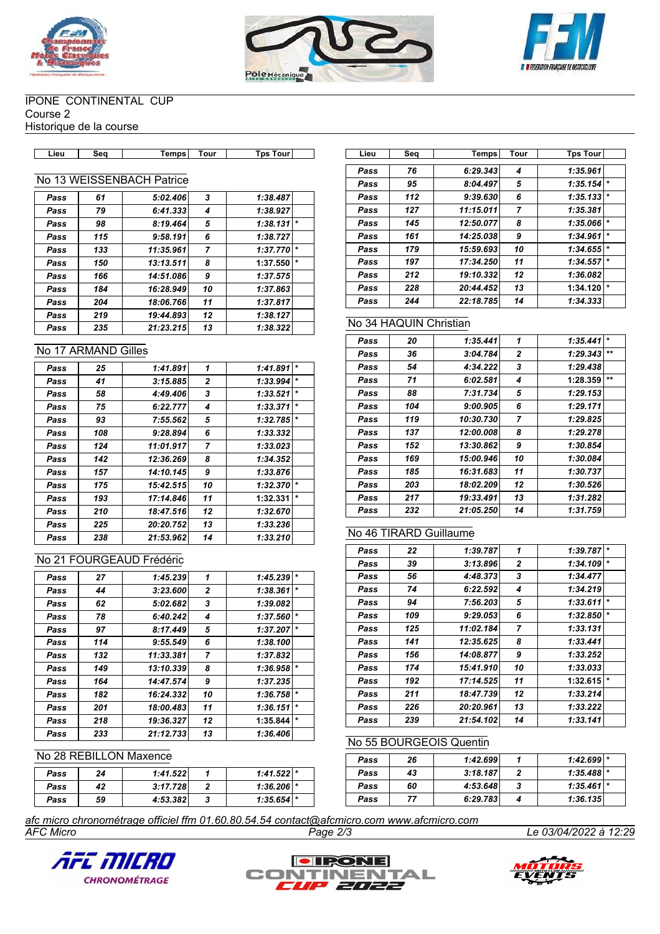





#### IPONE CONTINENTAL CUP Course 2

Historique de la course

| Tour<br><b>Temps</b><br>Tour<br>Гps<br><b>T</b> DS<br>ີ<br>∟ieư<br>ww |
|-----------------------------------------------------------------------|
|-----------------------------------------------------------------------|

# No 13 WEISSENBACH Patrice

| Pass | 61  | 5:02.406  | 3              | 1:38.487            |
|------|-----|-----------|----------------|---------------------|
| Pass | 79  | 6:41.333  | 4              | 1:38.927            |
| Pass | 98  | 8:19.464  | 5              | $\star$<br>1:38.131 |
| Pass | 115 | 9:58.191  | 6              | 1:38.727            |
| Pass | 133 | 11:35.961 | $\overline{ }$ | $\star$<br>1:37.770 |
| Pass | 150 | 13:13.511 | 8              | $\star$<br>1:37.550 |
| Pass | 166 | 14:51.086 | 9              | 1:37.575            |
| Pass | 184 | 16:28.949 | 10             | 1:37.863            |
| Pass | 204 | 18:06.766 | 11             | 1:37.817            |
| Pass | 219 | 19:44.893 | 12             | 1:38.127            |
| Pass | 235 | 21:23.215 | 13             | 1:38.322            |

#### No 17 ARMAND Gilles

| Pass | 25  | 1:41.891  | 1            | 1:41.891 | $\star$ |
|------|-----|-----------|--------------|----------|---------|
| Pass | 41  | 3:15.885  | $\mathbf{2}$ | 1:33.994 | $\star$ |
| Pass | 58  | 4:49.406  | 3            | 1:33.521 | $\star$ |
| Pass | 75  | 6:22.777  | 4            | 1:33.371 | $\star$ |
| Pass | 93  | 7:55.562  | 5            | 1:32.785 | $\star$ |
| Pass | 108 | 9:28.894  | 6            | 1:33.332 |         |
| Pass | 124 | 11:01.917 | 7            | 1:33.023 |         |
| Pass | 142 | 12:36.269 | 8            | 1:34.352 |         |
| Pass | 157 | 14:10.145 | 9            | 1:33.876 |         |
| Pass | 175 | 15:42.515 | 10           | 1:32.370 | $\star$ |
| Pass | 193 | 17:14.846 | 11           | 1:32.331 | $\star$ |
| Pass | 210 | 18:47.516 | 12           | 1:32.670 |         |
| Pass | 225 | 20:20.752 | 13           | 1:33.236 |         |
| Pass | 238 | 21:53.962 | 14           | 1:33.210 |         |

# No 21 FOURGEAUD Frédéric

| Pass | 27  | 1:45.239  | 1              | 1:45.239 | $\star$ |
|------|-----|-----------|----------------|----------|---------|
| Pass | 44  | 3:23.600  | 2              | 1:38.361 | $\star$ |
| Pass | 62  | 5:02.682  | 3              | 1:39.082 |         |
| Pass | 78  | 6:40.242  | 4              | 1:37.560 | $\star$ |
| Pass | 97  | 8:17.449  | 5              | 1:37.207 | $\star$ |
| Pass | 114 | 9:55.549  | 6              | 1:38.100 |         |
| Pass | 132 | 11:33.381 | $\overline{7}$ | 1:37.832 |         |
| Pass | 149 | 13:10.339 | 8              | 1:36.958 | $\star$ |
| Pass | 164 | 14:47.574 | 9              | 1:37.235 |         |
| Pass | 182 | 16:24.332 | 10             | 1:36.758 | $\star$ |
| Pass | 201 | 18:00.483 | 11             | 1:36.151 | $\star$ |
| Pass | 218 | 19:36.327 | 12             | 1:35.844 | $\star$ |
| Pass | 233 | 21:12.733 | 13             | 1:36.406 |         |

#### No 28 REBILLON Maxence

| Pass | 24 | 1:41.522 | $1:41.522$ * |  |
|------|----|----------|--------------|--|
| Pass | 42 | 3:17.728 | $1:36.206$ * |  |
| Pass | 59 | 4:53.382 | $1:35.654$ * |  |

| Lieu | Seg | Temps     | Tour | <b>Tps Tour</b> |        |
|------|-----|-----------|------|-----------------|--------|
|      |     |           |      |                 |        |
| Pass | 76  | 6:29.343  | 4    | 1:35.961        |        |
| Pass | 95  | 8:04.497  | 5    | 1:35.154        | $\ast$ |
| Pass | 112 | 9:39.630  | 6    | 1:35.133        | $\ast$ |
| Pass | 127 | 11:15.011 | 7    | 1:35.381        |        |
| Pass | 145 | 12:50.077 | 8    | 1:35.066        | $\ast$ |
| Pass | 161 | 14:25.038 | 9    | 1:34.961        | $\ast$ |
| Pass | 179 | 15:59.693 | 10   | 1:34.655        | $\ast$ |
| Pass | 197 | 17:34.250 | 11   | 1:34.557        | $\ast$ |
| Pass | 212 | 19:10.332 | 12   | 1:36.082        |        |
| Pass | 228 | 20:44.452 | 13   | 1:34.120        | $\ast$ |
| Pass | 244 | 22:18.785 | 14   | 1:34.333        |        |

# No 34 HAQUIN Christian

| Pass | 20  | 1:35.441  | 1              | 1:35.441 | $\star$ |
|------|-----|-----------|----------------|----------|---------|
| Pass | 36  | 3:04.784  | 2              | 1:29.343 | $***$   |
| Pass | 54  | 4:34.222  | 3              | 1:29.438 |         |
| Pass | 71  | 6:02.581  | 4              | 1:28.359 | $***$   |
| Pass | 88  | 7:31.734  | 5              | 1:29.153 |         |
| Pass | 104 | 9:00.905  | 6              | 1:29.171 |         |
| Pass | 119 | 10:30.730 | $\overline{7}$ | 1:29.825 |         |
| Pass | 137 | 12:00.008 | 8              | 1:29.278 |         |
| Pass | 152 | 13:30.862 | 9              | 1:30.854 |         |
| Pass | 169 | 15:00.946 | 10             | 1:30.084 |         |
| Pass | 185 | 16:31.683 | 11             | 1:30.737 |         |
| Pass | 203 | 18:02.209 | 12             | 1:30.526 |         |
| Pass | 217 | 19:33.491 | 13             | 1:31.282 |         |
| Pass | 232 | 21:05.250 | 14             | 1:31.759 |         |

# No 46 TIRARD Guillaume

| Pass | 22  | 1:39.787  | 1              | 1:39.787 | $\star$ |
|------|-----|-----------|----------------|----------|---------|
| Pass | 39  | 3:13.896  | $\overline{2}$ | 1:34.109 | $\star$ |
| Pass | 56  | 4:48.373  | 3              | 1:34.477 |         |
| Pass | 74  | 6:22.592  | 4              | 1:34.219 |         |
| Pass | 94  | 7:56.203  | 5              | 1:33.611 | $\star$ |
| Pass | 109 | 9:29.053  | 6              | 1:32.850 | $\star$ |
| Pass | 125 | 11:02.184 | $\overline{7}$ | 1:33.131 |         |
| Pass | 141 | 12:35.625 | 8              | 1:33.441 |         |
| Pass | 156 | 14:08.877 | 9              | 1:33.252 |         |
| Pass | 174 | 15:41.910 | 10             | 1:33.033 |         |
| Pass | 192 | 17:14.525 | 11             | 1:32.615 | $\star$ |
| Pass | 211 | 18:47.739 | 12             | 1:33.214 |         |
| Pass | 226 | 20:20.961 | 13             | 1:33.222 |         |
| Pass | 239 | 21:54.102 | 14             | 1:33.141 |         |

#### No 55 BOURGEOIS Quentin

| Pass | 26 | 1:42.699 | $1:42.699$ * |  |
|------|----|----------|--------------|--|
| Pass | 43 | 3:18.187 | $1:35.488$ * |  |
| Pass | 60 | 4:53.648 | $1:35.461$ * |  |
| Pass | 77 | 6:29.783 | 1:36.135     |  |

*AFC Micro Page 2/3 Le 03/04/2022 à 12:29 afc micro chronométrage officiel ffm 01.60.80.54.54 contact@afcmicro.com www.afcmicro.com*